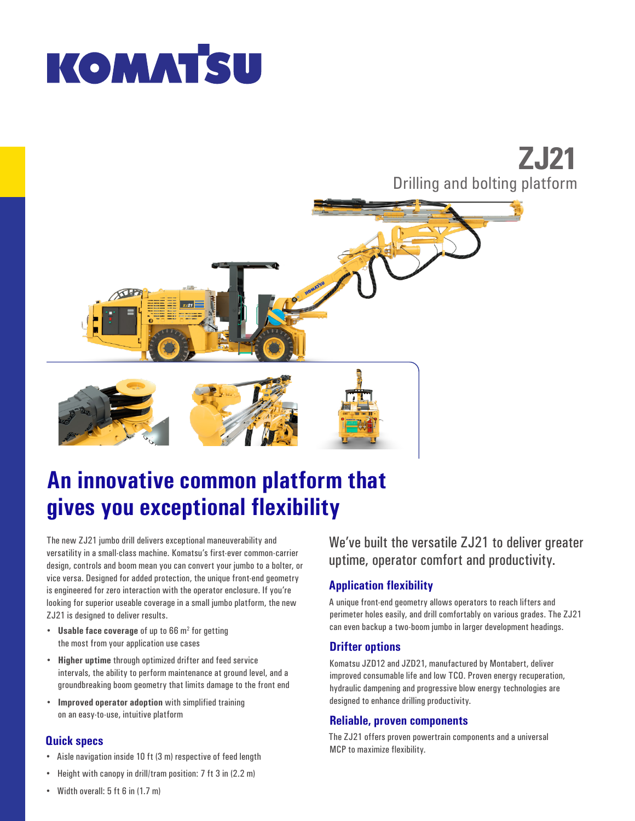# **KOMATSU**

# **ZJ21** Drilling and bolting platform



# **An innovative common platform that gives you exceptional flexibility**

The new ZJ21 jumbo drill delivers exceptional maneuverability and versatility in a small-class machine. Komatsu's first-ever common-carrier design, controls and boom mean you can convert your jumbo to a bolter, or vice versa. Designed for added protection, the unique front-end geometry is engineered for zero interaction with the operator enclosure. If you're looking for superior useable coverage in a small jumbo platform, the new ZJ21 is designed to deliver results.

- Usable face coverage of up to 66 m<sup>2</sup> for getting the most from your application use cases
- **Higher uptime** through optimized drifter and feed service intervals, the ability to perform maintenance at ground level, and a groundbreaking boom geometry that limits damage to the front end
- **Improved operator adoption** with simplified training on an easy-to-use, intuitive platform

## **Quick specs**

- Aisle navigation inside 10 ft (3 m) respective of feed length
- Height with canopy in drill/tram position: 7 ft 3 in (2.2 m)

We've built the versatile ZJ21 to deliver greater uptime, operator comfort and productivity.

# **Application flexibility**

A unique front-end geometry allows operators to reach lifters and perimeter holes easily, and drill comfortably on various grades. The ZJ21 can even backup a two-boom jumbo in larger development headings.

## **Drifter options**

Komatsu JZD12 and JZD21, manufactured by Montabert, deliver improved consumable life and low TCO. Proven energy recuperation, hydraulic dampening and progressive blow energy technologies are designed to enhance drilling productivity.

#### **Reliable, proven components**

The ZJ21 offers proven powertrain components and a universal MCP to maximize flexibility.

• Width overall: 5 ft 6 in (1.7 m)